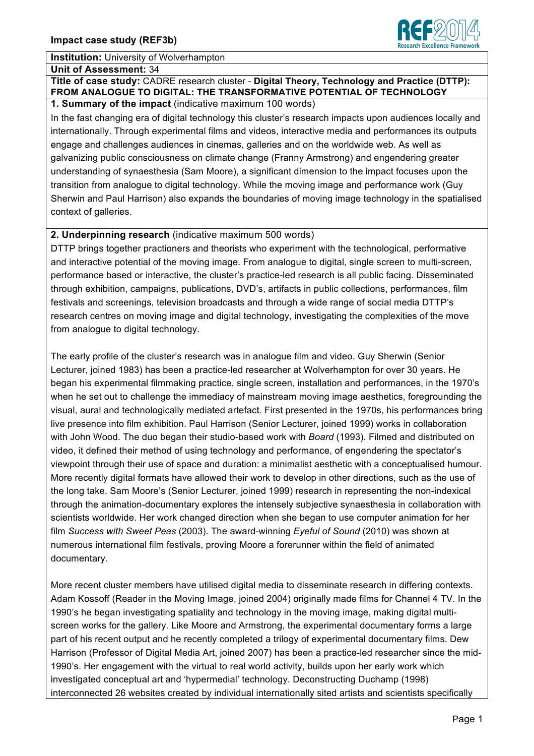# **Institution:** University of Wolverhampton

#### **Unit of Assessment:** 34

#### **Title of case study:** CADRE research cluster - **Digital Theory, Technology and Practice (DTTP): FROM ANALOGUE TO DIGITAL: THE TRANSFORMATIVE POTENTIAL OF TECHNOLOGY 1. Summary of the impact** (indicative maximum 100 words)

In the fast changing era of digital technology this cluster's research impacts upon audiences locally and internationally. Through experimental films and videos, interactive media and performances its outputs engage and challenges audiences in cinemas, galleries and on the worldwide web. As well as galvanizing public consciousness on climate change (Franny Armstrong) and engendering greater understanding of synaesthesia (Sam Moore), a significant dimension to the impact focuses upon the transition from analogue to digital technology. While the moving image and performance work (Guy Sherwin and Paul Harrison) also expands the boundaries of moving image technology in the spatialised context of galleries.

# **2. Underpinning research** (indicative maximum 500 words)

DTTP brings together practioners and theorists who experiment with the technological, performative and interactive potential of the moving image. From analogue to digital, single screen to multi-screen, performance based or interactive, the cluster's practice-led research is all public facing. Disseminated through exhibition, campaigns, publications, DVD's, artifacts in public collections, performances, film festivals and screenings, television broadcasts and through a wide range of social media DTTP's research centres on moving image and digital technology, investigating the complexities of the move from analogue to digital technology.

The early profile of the cluster's research was in analogue film and video. Guy Sherwin (Senior Lecturer, joined 1983) has been a practice-led researcher at Wolverhampton for over 30 years. He began his experimental filmmaking practice, single screen, installation and performances, in the 1970's when he set out to challenge the immediacy of mainstream moving image aesthetics, foregrounding the visual, aural and technologically mediated artefact. First presented in the 1970s, his performances bring live presence into film exhibition. Paul Harrison (Senior Lecturer, joined 1999) works in collaboration with John Wood. The duo began their studio-based work with *Board* (1993). Filmed and distributed on video, it defined their method of using technology and performance, of engendering the spectator's viewpoint through their use of space and duration: a minimalist aesthetic with a conceptualised humour. More recently digital formats have allowed their work to develop in other directions, such as the use of the long take. Sam Moore's (Senior Lecturer, joined 1999) research in representing the non-indexical through the animation-documentary explores the intensely subjective synaesthesia in collaboration with scientists worldwide. Her work changed direction when she began to use computer animation for her film *Success with Sweet Peas* (2003). The award-winning *Eyeful of Sound* (2010) was shown at numerous international film festivals, proving Moore a forerunner within the field of animated documentary.

More recent cluster members have utilised digital media to disseminate research in differing contexts. Adam Kossoff (Reader in the Moving Image, joined 2004) originally made films for Channel 4 TV. In the 1990's he began investigating spatiality and technology in the moving image, making digital multiscreen works for the gallery. Like Moore and Armstrong, the experimental documentary forms a large part of his recent output and he recently completed a trilogy of experimental documentary films. Dew Harrison (Professor of Digital Media Art, joined 2007) has been a practice-led researcher since the mid-1990's. Her engagement with the virtual to real world activity, builds upon her early work which investigated conceptual art and 'hypermedial' technology. Deconstructing Duchamp (1998) interconnected 26 websites created by individual internationally sited artists and scientists specifically

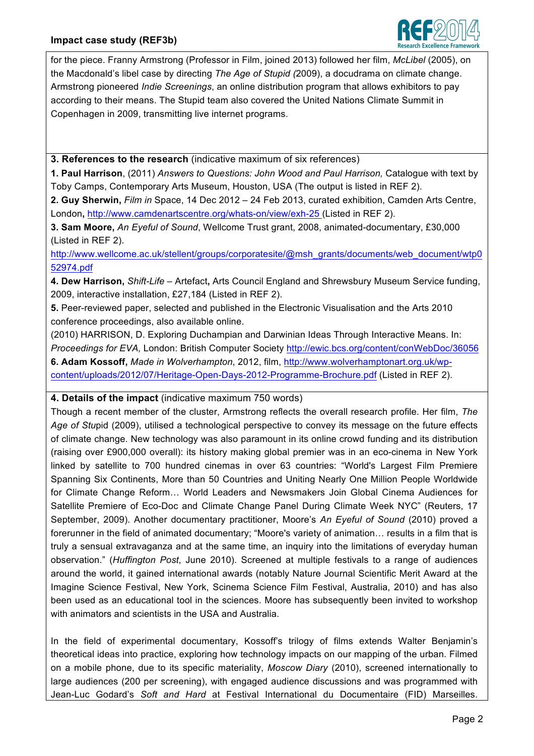

for the piece. Franny Armstrong (Professor in Film, joined 2013) followed her film, *McLibel* (2005), on the Macdonald's libel case by directing *The Age of Stupid (*2009), a docudrama on climate change. Armstrong pioneered *Indie Screenings*, an online distribution program that allows exhibitors to pay according to their means. The Stupid team also covered the United Nations Climate Summit in Copenhagen in 2009, transmitting live internet programs.

**3. References to the research** (indicative maximum of six references)

**1. Paul Harrison**, (2011) *Answers to Questions: John Wood and Paul Harrison,* Catalogue with text by Toby Camps, Contemporary Arts Museum, Houston, USA (The output is listed in REF 2).

**2. Guy Sherwin,** *Film in* Space, 14 Dec 2012 – 24 Feb 2013, curated exhibition, Camden Arts Centre, London**,** http://www.camdenartscentre.org/whats-on/view/exh-25 (Listed in REF 2).

**3. Sam Moore,** *An Eyeful of Sound*, Wellcome Trust grant, 2008, animated-documentary, £30,000 (Listed in REF 2).

http://www.wellcome.ac.uk/stellent/groups/corporatesite/@msh\_grants/documents/web\_document/wtp0 52974.pdf

**4. Dew Harrison,** *Shift-Life* – Artefact**,** Arts Council England and Shrewsbury Museum Service funding, 2009, interactive installation, £27,184 (Listed in REF 2).

**5.** Peer-reviewed paper, selected and published in the Electronic Visualisation and the Arts 2010 conference proceedings, also available online.

(2010) HARRISON, D. Exploring Duchampian and Darwinian Ideas Through Interactive Means. In: *Proceedings for EVA,* London: British Computer Society http://ewic.bcs.org/content/conWebDoc/36056 **6. Adam Kossoff,** *Made in Wolverhampton*, 2012, film, http://www.wolverhamptonart.org.uk/wpcontent/uploads/2012/07/Heritage-Open-Days-2012-Programme-Brochure.pdf (Listed in REF 2).

# **4. Details of the impact** (indicative maximum 750 words)

Though a recent member of the cluster, Armstrong reflects the overall research profile. Her film, *The Age of Stu*pid (2009), utilised a technological perspective to convey its message on the future effects of climate change. New technology was also paramount in its online crowd funding and its distribution (raising over £900,000 overall): its history making global premier was in an eco-cinema in New York linked by satellite to 700 hundred cinemas in over 63 countries: "World's Largest Film Premiere Spanning Six Continents, More than 50 Countries and Uniting Nearly One Million People Worldwide for Climate Change Reform... World Leaders and Newsmakers Join Global Cinema Audiences for Satellite Premiere of Eco-Doc and Climate Change Panel During Climate Week NYC" (Reuters, 17 September, 2009). Another documentary practitioner, Moore's *An Eyeful of Sound* (2010) proved a forerunner in the field of animated documentary; "Moore's variety of animation... results in a film that is truly a sensual extravaganza and at the same time, an inquiry into the limitations of everyday human observation." (*Huffington Post*, June 2010). Screened at multiple festivals to a range of audiences around the world, it gained international awards (notably Nature Journal Scientific Merit Award at the Imagine Science Festival, New York, Scinema Science Film Festival, Australia, 2010) and has also been used as an educational tool in the sciences. Moore has subsequently been invited to workshop with animators and scientists in the USA and Australia.

In the field of experimental documentary, Kossoff's trilogy of films extends Walter Benjamin's theoretical ideas into practice, exploring how technology impacts on our mapping of the urban. Filmed on a mobile phone, due to its specific materiality, *Moscow Diary* (2010), screened internationally to large audiences (200 per screening), with engaged audience discussions and was programmed with Jean-Luc Godard's *Soft and Hard* at Festival International du Documentaire (FID) Marseilles.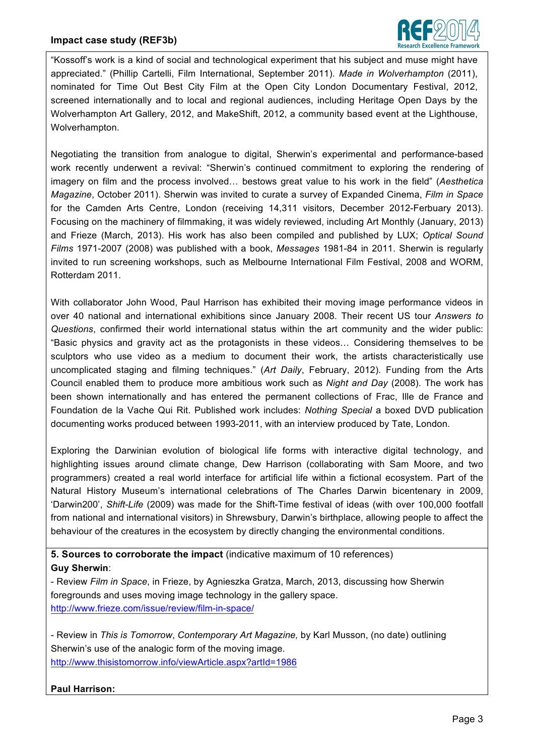

"Kossoff's work is a kind of social and technological experiment that his subject and muse might have appreciated." (Phillip Cartelli, Film International, September 2011). *Made in Wolverhampton* (2011), nominated for Time Out Best City Film at the Open City London Documentary Festival, 2012, screened internationally and to local and regional audiences, including Heritage Open Days by the Wolverhampton Art Gallery, 2012, and MakeShift, 2012, a community based event at the Lighthouse, Wolverhampton.

Negotiating the transition from analogue to digital, Sherwin's experimental and performance-based work recently underwent a revival: "Sherwin's continued commitment to exploring the rendering of imagery on film and the process involved... bestows great value to his work in the field" (*Aesthetica Magazine*, October 2011). Sherwin was invited to curate a survey of Expanded Cinema, *Film in Space* for the Camden Arts Centre, London (receiving 14,311 visitors, December 2012-Ferbuary 2013). Focusing on the machinery of filmmaking, it was widely reviewed, including Art Monthly (January, 2013) and Frieze (March, 2013). His work has also been compiled and published by LUX; *Optical Sound Films* 1971-2007 (2008) was published with a book, *Messages* 1981-84 in 2011. Sherwin is regularly invited to run screening workshops, such as Melbourne International Film Festival, 2008 and WORM, Rotterdam 2011.

With collaborator John Wood, Paul Harrison has exhibited their moving image performance videos in over 40 national and international exhibitions since January 2008. Their recent US tour *Answers to Questions*, confirmed their world international status within the art community and the wider public: "Basic physics and gravity act as the protagonists in these videos... Considering themselves to be sculptors who use video as a medium to document their work, the artists characteristically use uncomplicated staging and filming techniques." (*Art Daily*, February, 2012). Funding from the Arts Council enabled them to produce more ambitious work such as *Night and Day* (2008). The work has been shown internationally and has entered the permanent collections of Frac, Ille de France and Foundation de la Vache Qui Rit. Published work includes: *Nothing Special* a boxed DVD publication documenting works produced between 1993-2011, with an interview produced by Tate, London.

Exploring the Darwinian evolution of biological life forms with interactive digital technology, and highlighting issues around climate change, Dew Harrison (collaborating with Sam Moore, and two programmers) created a real world interface for artificial life within a fictional ecosystem. Part of the Natural History Museum's international celebrations of The Charles Darwin bicentenary in 2009, 'Darwin200', *Shift-Life* (2009) was made for the Shift-Time festival of ideas (with over 100,000 footfall from national and international visitors) in Shrewsbury, Darwin's birthplace, allowing people to affect the behaviour of the creatures in the ecosystem by directly changing the environmental conditions.

**5. Sources to corroborate the impact** (indicative maximum of 10 references) **Guy Sherwin**:

- Review *Film in Space*, in Frieze, by Agnieszka Gratza, March, 2013, discussing how Sherwin foregrounds and uses moving image technology in the gallery space. http://www.frieze.com/issue/review/film-in-space/

- Review in *This is Tomorrow*, *Contemporary Art Magazine,* by Karl Musson, (no date) outlining Sherwin's use of the analogic form of the moving image. http://www.thisistomorrow.info/viewArticle.aspx?artId=1986

# **Paul Harrison:**